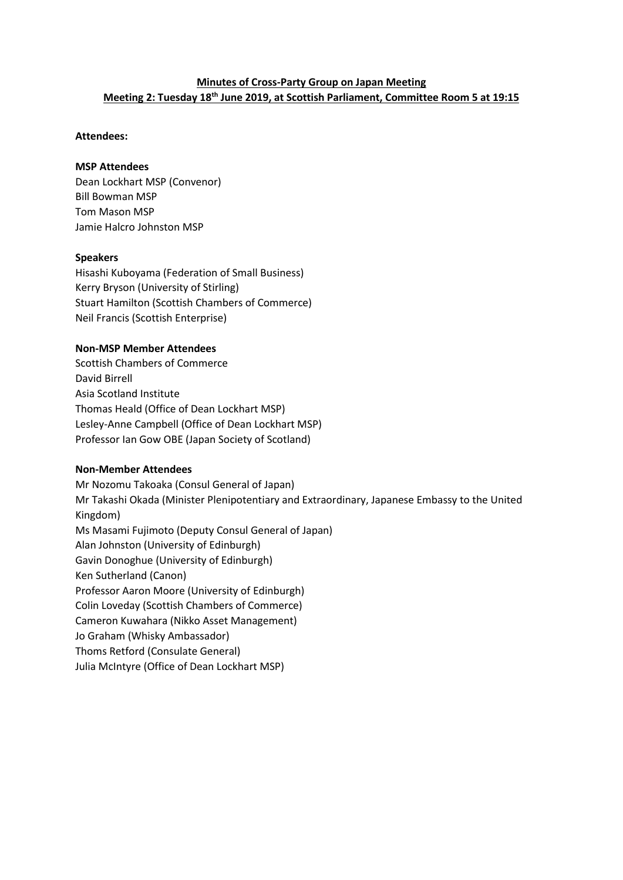### **Minutes of Cross-Party Group on Japan Meeting Meeting 2: Tuesday 18th June 2019, at Scottish Parliament, Committee Room 5 at 19:15**

### **Attendees:**

### **MSP Attendees**

Dean Lockhart MSP (Convenor) Bill Bowman MSP Tom Mason MSP Jamie Halcro Johnston MSP

### **Speakers**

Hisashi Kuboyama (Federation of Small Business) Kerry Bryson (University of Stirling) Stuart Hamilton (Scottish Chambers of Commerce) Neil Francis (Scottish Enterprise)

### **Non-MSP Member Attendees**

Scottish Chambers of Commerce David Birrell Asia Scotland Institute Thomas Heald (Office of Dean Lockhart MSP) Lesley-Anne Campbell (Office of Dean Lockhart MSP) Professor Ian Gow OBE (Japan Society of Scotland)

### **Non-Member Attendees**

Mr Nozomu Takoaka (Consul General of Japan) Mr Takashi Okada (Minister Plenipotentiary and Extraordinary, Japanese Embassy to the United Kingdom) Ms Masami Fujimoto (Deputy Consul General of Japan) Alan Johnston (University of Edinburgh) Gavin Donoghue (University of Edinburgh) Ken Sutherland (Canon) Professor Aaron Moore (University of Edinburgh) Colin Loveday (Scottish Chambers of Commerce) Cameron Kuwahara (Nikko Asset Management) Jo Graham (Whisky Ambassador) Thoms Retford (Consulate General) Julia McIntyre (Office of Dean Lockhart MSP)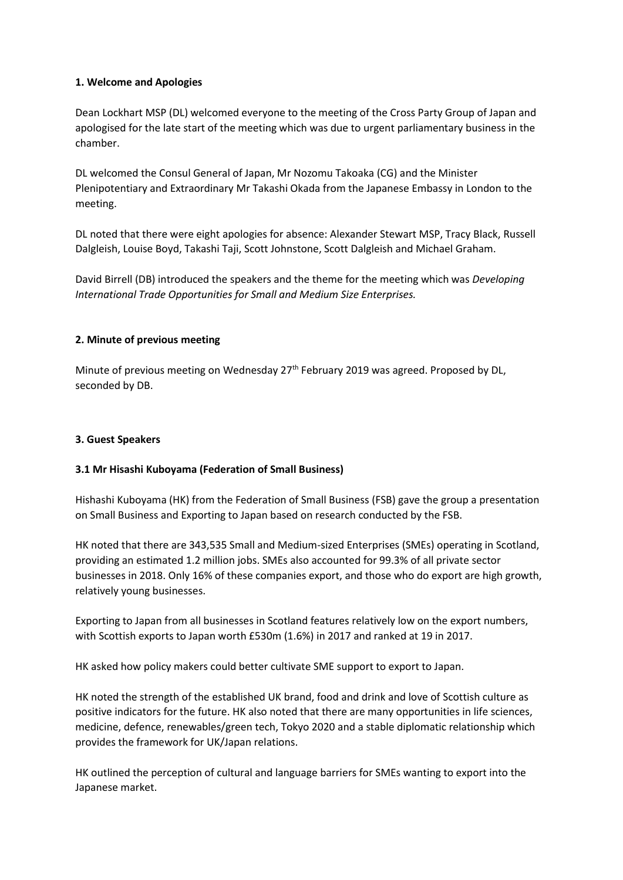### **1. Welcome and Apologies**

Dean Lockhart MSP (DL) welcomed everyone to the meeting of the Cross Party Group of Japan and apologised for the late start of the meeting which was due to urgent parliamentary business in the chamber.

DL welcomed the Consul General of Japan, Mr Nozomu Takoaka (CG) and the Minister Plenipotentiary and Extraordinary Mr Takashi Okada from the Japanese Embassy in London to the meeting.

DL noted that there were eight apologies for absence: Alexander Stewart MSP, Tracy Black, Russell Dalgleish, Louise Boyd, Takashi Taji, Scott Johnstone, Scott Dalgleish and Michael Graham.

David Birrell (DB) introduced the speakers and the theme for the meeting which was *Developing International Trade Opportunities for Small and Medium Size Enterprises.*

### **2. Minute of previous meeting**

Minute of previous meeting on Wednesday 27<sup>th</sup> February 2019 was agreed. Proposed by DL, seconded by DB.

### **3. Guest Speakers**

### **3.1 Mr Hisashi Kuboyama (Federation of Small Business)**

Hishashi Kuboyama (HK) from the Federation of Small Business (FSB) gave the group a presentation on Small Business and Exporting to Japan based on research conducted by the FSB.

HK noted that there are 343,535 Small and Medium-sized Enterprises (SMEs) operating in Scotland, providing an estimated 1.2 million jobs. SMEs also accounted for 99.3% of all private sector businesses in 2018. Only 16% of these companies export, and those who do export are high growth, relatively young businesses.

Exporting to Japan from all businesses in Scotland features relatively low on the export numbers, with Scottish exports to Japan worth £530m (1.6%) in 2017 and ranked at 19 in 2017.

HK asked how policy makers could better cultivate SME support to export to Japan.

HK noted the strength of the established UK brand, food and drink and love of Scottish culture as positive indicators for the future. HK also noted that there are many opportunities in life sciences, medicine, defence, renewables/green tech, Tokyo 2020 and a stable diplomatic relationship which provides the framework for UK/Japan relations.

HK outlined the perception of cultural and language barriers for SMEs wanting to export into the Japanese market.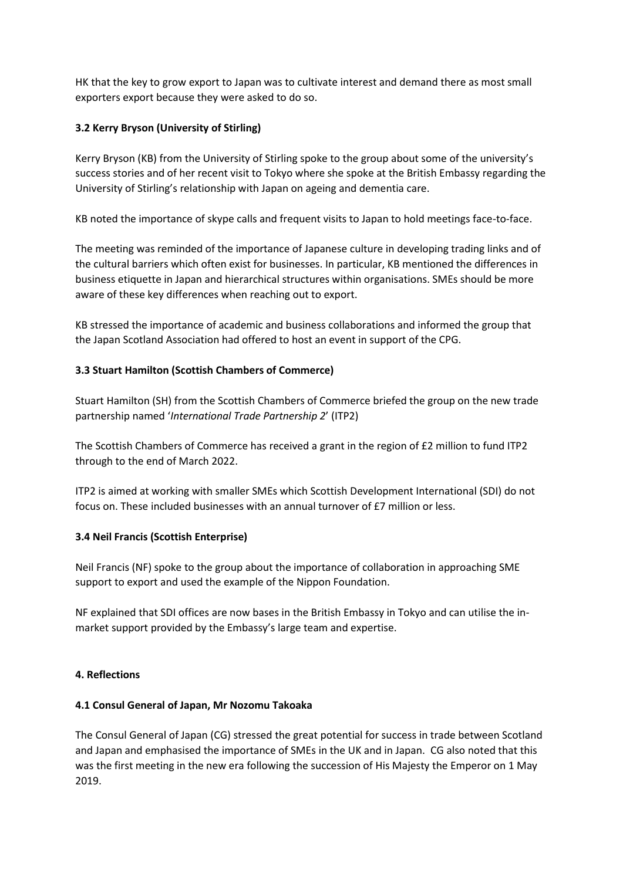HK that the key to grow export to Japan was to cultivate interest and demand there as most small exporters export because they were asked to do so.

### **3.2 Kerry Bryson (University of Stirling)**

Kerry Bryson (KB) from the University of Stirling spoke to the group about some of the university's success stories and of her recent visit to Tokyo where she spoke at the British Embassy regarding the University of Stirling's relationship with Japan on ageing and dementia care.

KB noted the importance of skype calls and frequent visits to Japan to hold meetings face-to-face.

The meeting was reminded of the importance of Japanese culture in developing trading links and of the cultural barriers which often exist for businesses. In particular, KB mentioned the differences in business etiquette in Japan and hierarchical structures within organisations. SMEs should be more aware of these key differences when reaching out to export.

KB stressed the importance of academic and business collaborations and informed the group that the Japan Scotland Association had offered to host an event in support of the CPG.

### **3.3 Stuart Hamilton (Scottish Chambers of Commerce)**

Stuart Hamilton (SH) from the Scottish Chambers of Commerce briefed the group on the new trade partnership named '*International Trade Partnership 2*' (ITP2)

The Scottish Chambers of Commerce has received a grant in the region of £2 million to fund ITP2 through to the end of March 2022.

ITP2 is aimed at working with smaller SMEs which Scottish Development International (SDI) do not focus on. These included businesses with an annual turnover of £7 million or less.

### **3.4 Neil Francis (Scottish Enterprise)**

Neil Francis (NF) spoke to the group about the importance of collaboration in approaching SME support to export and used the example of the Nippon Foundation.

NF explained that SDI offices are now bases in the British Embassy in Tokyo and can utilise the inmarket support provided by the Embassy's large team and expertise.

### **4. Reflections**

### **4.1 Consul General of Japan, Mr Nozomu Takoaka**

The Consul General of Japan (CG) stressed the great potential for success in trade between Scotland and Japan and emphasised the importance of SMEs in the UK and in Japan. CG also noted that this was the first meeting in the new era following the succession of His Majesty the Emperor on 1 May 2019.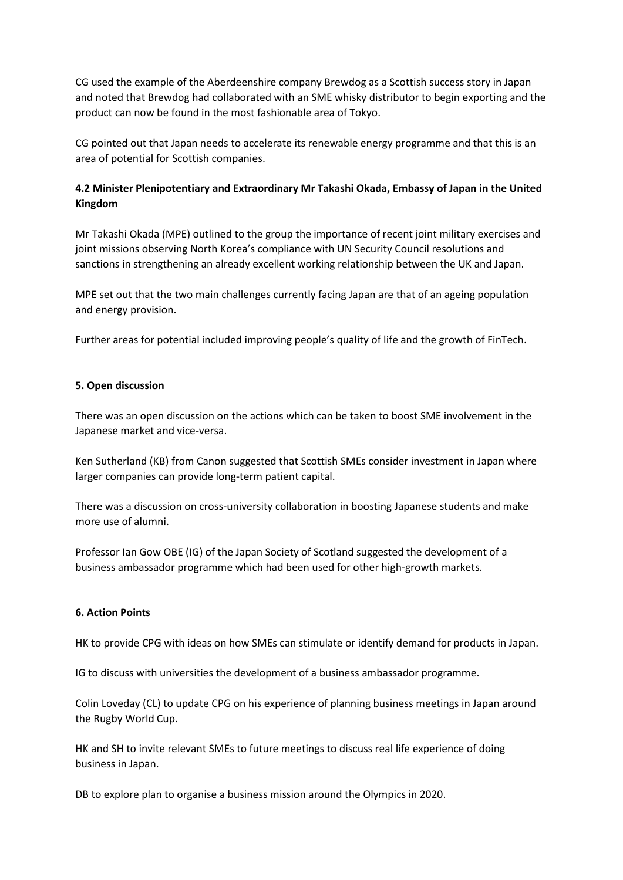CG used the example of the Aberdeenshire company Brewdog as a Scottish success story in Japan and noted that Brewdog had collaborated with an SME whisky distributor to begin exporting and the product can now be found in the most fashionable area of Tokyo.

CG pointed out that Japan needs to accelerate its renewable energy programme and that this is an area of potential for Scottish companies.

## **4.2 Minister Plenipotentiary and Extraordinary Mr Takashi Okada, Embassy of Japan in the United Kingdom**

Mr Takashi Okada (MPE) outlined to the group the importance of recent joint military exercises and joint missions observing North Korea's compliance with UN Security Council resolutions and sanctions in strengthening an already excellent working relationship between the UK and Japan.

MPE set out that the two main challenges currently facing Japan are that of an ageing population and energy provision.

Further areas for potential included improving people's quality of life and the growth of FinTech.

### **5. Open discussion**

There was an open discussion on the actions which can be taken to boost SME involvement in the Japanese market and vice-versa.

Ken Sutherland (KB) from Canon suggested that Scottish SMEs consider investment in Japan where larger companies can provide long-term patient capital.

There was a discussion on cross-university collaboration in boosting Japanese students and make more use of alumni.

Professor Ian Gow OBE (IG) of the Japan Society of Scotland suggested the development of a business ambassador programme which had been used for other high-growth markets.

### **6. Action Points**

HK to provide CPG with ideas on how SMEs can stimulate or identify demand for products in Japan.

IG to discuss with universities the development of a business ambassador programme.

Colin Loveday (CL) to update CPG on his experience of planning business meetings in Japan around the Rugby World Cup.

HK and SH to invite relevant SMEs to future meetings to discuss real life experience of doing business in Japan.

DB to explore plan to organise a business mission around the Olympics in 2020.